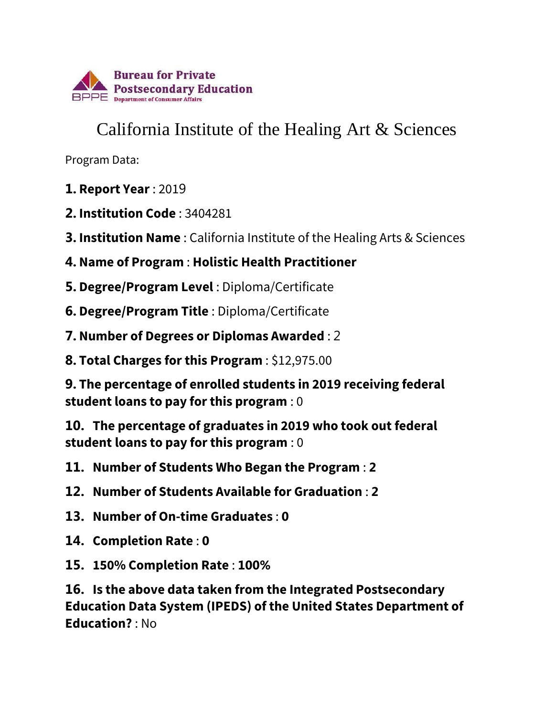

## California Institute of the Healing Art & Sciences

Program Data:

- **1. Report Year** : 2019
- **2. Institution Code** : 3404281
- **3. Institution Name** : California Institute of the Healing Arts & Sciences
- **4. Name of Program** : **Holistic Health Practitioner**
- **5. Degree/Program Level** : Diploma/Certificate
- **6. Degree/Program Title** : Diploma/Certificate
- **7. Number of Degrees or Diplomas Awarded** : 2
- **8. Total Charges for this Program** : \$12,975.00

**9. The percentage of enrolled students in 2019 receiving federal student loans to pay for this program** : 0

**10. The percentage of graduates in 2019 who took out federal student loans to pay for this program** : 0

- **11. Number of Students Who Began the Program** : **2**
- **12. Number of Students Available for Graduation** : **2**
- **13. Number of On-time Graduates** : **0**
- **14. Completion Rate** : **0**
- **15. 150% Completion Rate** : **100%**

**16. Is the above data taken from the Integrated Postsecondary Education Data System (IPEDS) of the United States Department of Education?** : No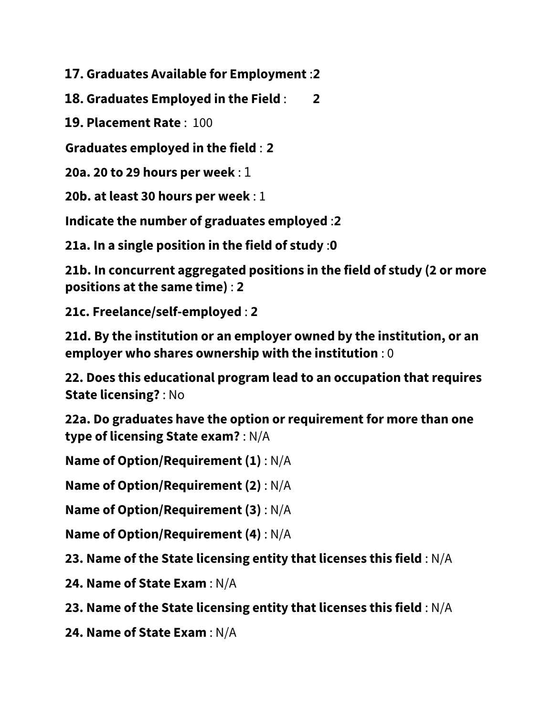**17. Graduates Available for Employment** :**2**

**18. Graduates Employed in the Field** : **2**

**19. Placement Rate** : 100

**Graduates employed in the field** : **2**

**20a. 20 to 29 hours per week** : 1

**20b. at least 30 hours per week** : 1

**Indicate the number of graduates employed** :**2**

**21a. In a single position in the field of study** :**0**

**21b. In concurrent aggregated positions in the field of study (2 or more positions at the same time)** : **2**

**21c. Freelance/self-employed** : **2**

**21d. By the institution or an employer owned by the institution, or an employer who shares ownership with the institution** : 0

**22. Does this educational program lead to an occupation that requires State licensing?** : No

**22a. Do graduates have the option or requirement for more than one type of licensing State exam?** : N/A

**Name of Option/Requirement (1)** : N/A

**Name of Option/Requirement (2)** : N/A

**Name of Option/Requirement (3)** : N/A

**Name of Option/Requirement (4)** : N/A

**23. Name of the State licensing entity that licenses this field** : N/A

**24. Name of State Exam** : N/A

**23. Name of the State licensing entity that licenses this field** : N/A

**24. Name of State Exam** : N/A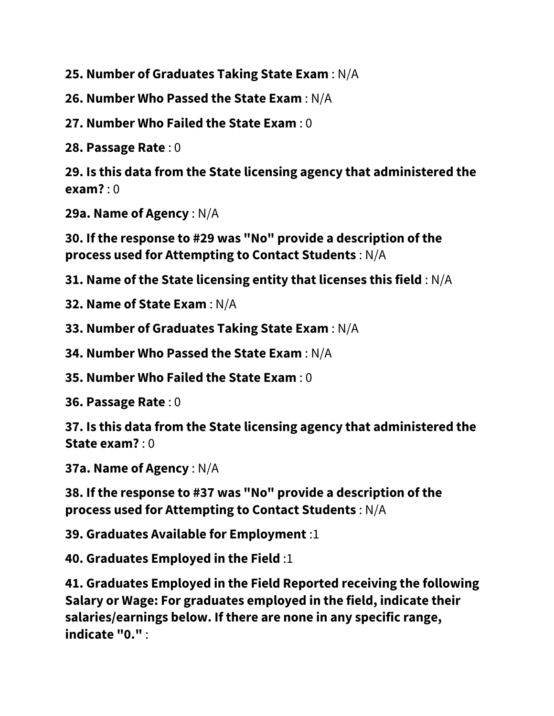**25. Number of Graduates Taking State Exam** : N/A

**26. Number Who Passed the State Exam** : N/A

**27. Number Who Failed the State Exam** : 0

**28. Passage Rate** : 0

**29. Is this data from the State licensing agency that administered the exam?** : 0

**29a. Name of Agency** : N/A

**30. If the response to #29 was "No" provide a description of the process used for Attempting to Contact Students** : N/A

**31. Name of the State licensing entity that licenses this field** : N/A

**32. Name of State Exam** : N/A

**33. Number of Graduates Taking State Exam** : N/A

**34. Number Who Passed the State Exam** : N/A

**35. Number Who Failed the State Exam** : 0

**36. Passage Rate** : 0

**37. Is this data from the State licensing agency that administered the State exam?** : 0

**37a. Name of Agency** : N/A

**38. If the response to #37 was "No" provide a description of the process used for Attempting to Contact Students** : N/A

**39. Graduates Available for Employment** :1

**40. Graduates Employed in the Field** :1

**41. Graduates Employed in the Field Reported receiving the following Salary or Wage: For graduates employed in the field, indicate their salaries/earnings below. If there are none in any specific range, indicate "0."** :